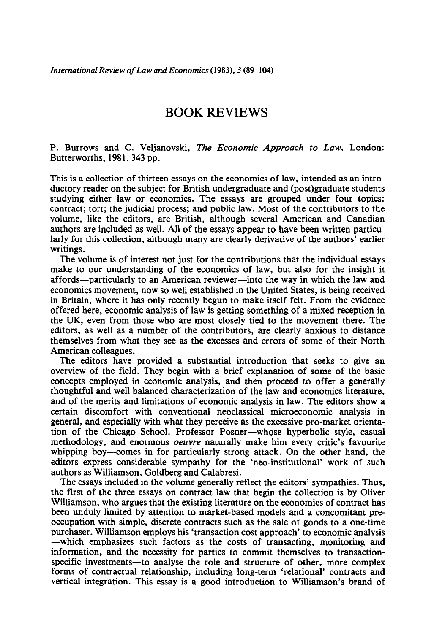## **BOOK REVIEWS**

P. Burrows and C. Veljanovski, *The Economic Approach to Law,* London: Butterworths, 1981.343 pp.

This is a collection of thirteen essays on the economics of law, intended as an introductory reader on the subject for British undergraduate and (post)graduate students studying either law or economics. The essays are grouped under four topics: contract; tort; the judicial process; and public law. Most of the contributors to the volume, like the editors, are British, although several American and Canadian authors are included as well. All of the essays appear to have been written particularly for this collection, although many are clearly derivative of the authors' earlier writings.

The volume is of interest not just for the contributions that the individual essays make to our understanding of the economics of law, but also for the insight it affords-particularly to an American reviewer--into the way in which the law and economics movement, now so well established in the United States, is being received in Britain, where it has only recently begun to make itself felt. From the evidence offered here, economic analysis of law is getting something of a mixed reception in the UK, even from those who are most closely tied to the movement there. The editors, as well as a number of the contributors, are clearly anxious to distance themselves from what they see as the excesses and errors of some of their North American colleagues.

The editors have provided a substantial introduction that seeks to give an overview of the field. They begin with a brief explanation of some of the basic concepts employed in economic analysis, and then proceed to offer a generally thoughtful and well balanced characterization of the law and economics literature, and of the merits and limitations of economic analysis in law. The editors show a certain discomfort with conventional neoclassical microeconomic analysis in general, and especially with what they perceive as the excessive pro-market orientation of the Chicago School. Professor Posner-whose hyperbolic style, casual methodology, and enormous *oeuvre* naturally make him every critic's favourite whipping boy-comes in for particularly strong attack. On the other hand, the editors express considerable sympathy for the 'neo-institutional' work of such authors as Williamson, Goldberg and Calabresi.

The essays included in the volume generally reflect the editors' sympathies. Thus, the first of the three essays on contract law that begin the collection is by Oliver Williamson, who argues that the existing literature on the economics of contract has been unduly limited by attention to market-based models and a concomitant preoccupation with simple, discrete contracts such as the sale of goods to a one-time purchaser. Williamson employs his 'transaction cost approach' to economic analysis -which emphasizes such factors as the costs of transacting, monitoring and information, and the necessity for parties to commit themselves to transactionspecific investments—to analyse the role and structure of other, more complex forms of contractual relationship, including long-term 'relational' contracts and vertical integration. This essay is a good introduction to Williamson's brand of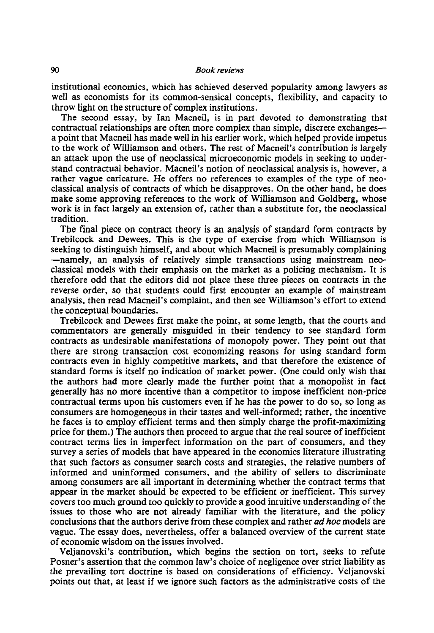institutional economics, which has achieved deserved popularity among lawyers as well as economists for its common-sensical concepts, flexibility, and capacity to throw light on the structure of complex institutions.

The second essay, by Ian Macneil, is in part devoted to demonstrating that contractual relationships are often more complex than simple, discrete exchanges a point that Macneil has made well in his earlier work, which helped provide impetus to the work of Williamson and others. The rest of Macneil's contribution is largely an attack upon the use of neoclassical microeconomic models in seeking to understand contractual behavior. Macneil's notion of neoclassical analysis is, however, a rather vague caricature. He offers no references to examples of the type of neoclassical analysis of contracts of which he disapproves. On the other hand, he does make some approving references to the work of Williamson and Goldberg, whose work is in fact largely an extension of, rather than a substitute for, the neoclassical tradition.

The final piece on contract theory is an analysis of standard form contracts by Trebilcock and Dewees. This is the type of exercise from which Williamson is seeking to distinguish himself, and about which Macneil is presumably complaining -namely, an analysis of relatively simple transactions using mainstream neoclassical models with their emphasis on the market as a policing mechanism. It is therefore odd that the editors did not place these three pieces on contracts in the reverse order, so that students could first encounter an example of mainstream analysis, then read Macneil's complaint, and then see Williamson's effort to extend the conceptual boundaries.

Trebilcock and Dewees first make the point, at some length, that the courts and commentators are generally misguided in their tendency to see standard form contracts as undesirable manifestations of monopoly power. They point out that there are strong transaction cost economizing reasons for using standard form contracts even in highly competitive markets, and that therefore the existence of standard forms is itself no indication of market power. (One could only wish that the authors had more clearly made the further point that a monopolist in fact generally has no more incentive than a competitor to impose inefficient non-price contractual terms upon his customers even if he has the power to do so, so long as consumers are homogeneous in their tastes and well-informed; rather, the incentive he faces is to employ efficient terms and then simply charge the profit-maximizing price for them.) The authors then proceed to argue that the real source of inefficient contract terms lies in imperfect information on the part of consumers, and they survey a series of models that have appeared in the economics literature illustrating that such factors as consumer search costs and strategies, the relative numbers of informed and uninformed consumers, and the ability of sellers to discriminate among consumers are all important in determining whether the contract terms that appear in the market should be expected to be efficient or inefficient. This survey covers too much ground too quickly to provide a good intuitive understanding of the issues to those who are not already familiar with the literature, and the policy conclusions that the authors derive from these complex and rather *ad hoc* models are vague. The essay does, nevertheless, offer a balanced overview of the current state of economic wisdom on the issues involved.

Veljanovski's contribution, which begins the section on tort, seeks to refute Posner's assertion that the common law's choice of negligence over strict liability as the prevailing tort doctrine is based on considerations of efficiency. Veljanovski points out that, at least if we ignore such factors as the administrative costs of the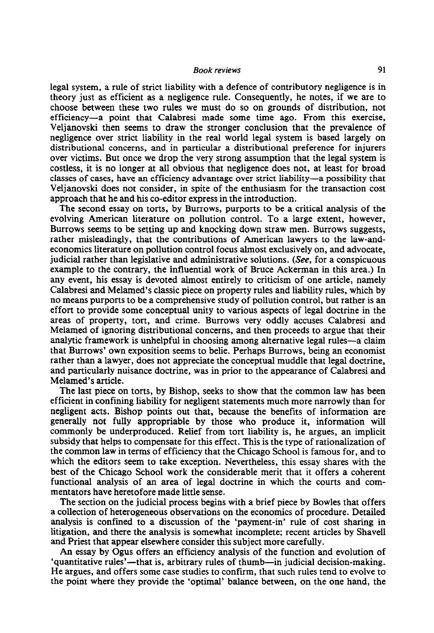## *Book reviews* 91

legal system, a rule of strict liability with a defence of contributory negligence is in theory just as efficient as a negligence rule. Consequently, he notes, if we are to choose between these two rules we must do so on grounds of distribution, not efficiency-a point that Calabresi made some time ago. From this exercise, Veljanovski then seems to draw the stronger conclusion that the prevalence of negligence over strict liability in the real world legal system is based largely on distributional concerns, and in particular a distributional preference for injurers over victims. But once we drop the very strong assumption that the legal system is costless, it is no longer at all obvious that negligence does not, at least for broad classes of cases, have an efficiency advantage over strict liability-a possibility that Veljanovski does not consider, in spite of the enthusiasm for the transaction cost approach that he and his co-editor express in the introduction.

The second essay on torts, by Burrows, purports to be a critical analysis of the evolving American literature on pollution control. To a large extent, however, Burrows seems to be setting up and knocking down straw men. Burrows suggests, rather misleadingly, that the contributions of American lawyers to the law-andeconomics literature on pollution control focus almost exclusively on, and advocate, judicial rather than legislative and administrative solutions. (See, for a conspicuous example to the contrary, the influential work of Bruce Ackerman in this area.) In any event, his essay is devoted almost entirely to criticism of one article, namely Calabresi and Melamed's classic piece on property rules and liability rules, which by no means purports to be a comprehensive study of pollution control, but rather is an effort to provide some conceptual unity to various aspects of legal doctrine in the areas of property, tort, and crime. Burrows very oddly accuses Calabresi and Melamed of ignoring distributional concerns, and then proceeds to argue that their analytic framework is unhelpful in choosing among alternative legal rules-a claim that Burrows' own exposition seems to belie. Perhaps Burrows, being an economist rather than a lawyer, does not appreciate the conceptual muddle that legal doctrine, and particularly nuisance doctrine, was in prior to the appearance of Calabresi and Melamed's article.

The last piece on torts, by Bishop, seeks to show that the common law has been efficient in confining liability for negligent statements much more narrowly than for negligent acts. Bishop points out that, because the benefits of information are generally not fully appropriable by those who produce it, information will commonly be underproduced. Relief from tort liability is, he argues, an implicit subsidy that helps to compensate for this effect. This is the type of rationalization of the common law in terms of efficiency that the Chicago School is famous for, and to which the editors seem to take exception. Nevertheless, this essay shares with the best of the Chicago School work the considerable merit that it offers a coherent functional analysis of an area of legal doctrine in which the courts and commentators have heretofore made little sense.

The section on the judicial process begins with a brief piece by Bowles that offers a collection of heterogeneous observations on the economics of procedure. Detailed analysis is confined to a discussion of the 'payment-in' rule of cost sharing in litigation, and there the analysis is somewhat incomplete; recent articles by Shavell and Priest that appear elsewhere consider this subject more carefully.

An essay by Ogus offers an efficiency analysis of the function and evolution of 'quantitative rules'—that is, arbitrary rules of thumb—in judicial decision-making. He argues, and offers some case studies to confirm, that such rules tend to evolve to the point where they provide the 'optimal' balance between, on the one hand, the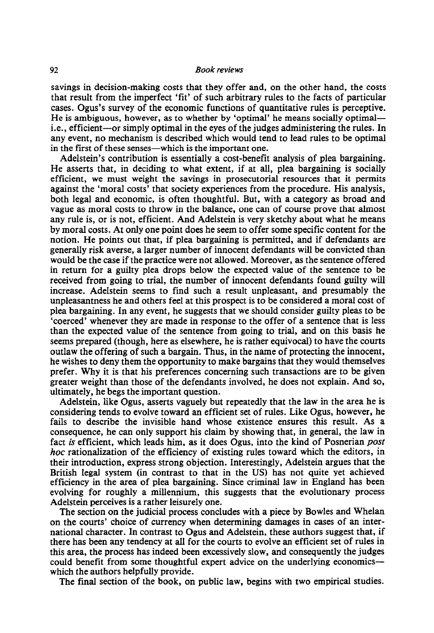savings in decision-making costs that they offer and, on the other hand, the costs that result from the imperfect 'fit' of such arbitrary rules to the facts of particular cases. Ogus's survey of the economic functions of quantitative rules is perceptive. He is ambiguous, however, as to whether by 'optimal' he means socially optimal i.e., efficient-or simply optimal in the eyes of the judges administering the rules. In any event, no mechanism is described which would tend to lead rules to be optimal in the first of these senses—which is the important one.

Adelstein's contribution is essentially a cost-benefit analysis of plea bargaining. He asserts that, in deciding to what extent, if at all, plea bargaining is socially efficient, we must weight the savings in prosecutorial resources that it permits against the 'moral costs' that society experiences from the procedure. His analysis, both legal and economic, is often thoughtful. But, with a category as broad and vague as moral costs to throw in the balance, one can of course prove that almost any rule is, or is not, efficient. And Adelstein is very sketchy about what he means by moral costs. At only one point does he seem to offer some specific content for the notion. He points out that, if plea bargaining is permitted, and if defendants are generally risk averse, a larger number of innocent defendants will be convicted than would be the case if the practice were not allowed. Moreover, as the sentence offered in return for a guilty plea drops below the expected value of the sentence to be received from going to trial, the number of innocent defendants found guilty will increase. Adelstein seems to find such a result unpleasant, and presumably the unpleasantness he and others feel at this prospect is to be considered a moral cost of plea bargaining. In any event, he suggests that we should consider guilty pleas to be 'coerced' whenever they are made in response to the offer of a sentence that is less than the expected value of the sentence from going to trial, and on this basis he seems prepared (though, here as elsewhere, he is rather equivocal) to have the courts outlaw the offering of such a bargain. Thus, in the name of protecting the innocent, he wishes to deny them the opportunity to make bargains that they would themselves prefer. Why it is that his preferences concerning such transactions are to be given greater weight than those of the defendants involved, he does not explain. And so, ultimately, he begs the important question.

Adelstein, like Ogus, asserts vaguely but repeatedly that the law in the area he is considering tends to evolve toward an efficient set of rules. Like Ogus, however, he fails to describe the invisible hand whose existence ensures this result. As a consequence, he can only support his claim by showing that, in general, the law in fact is efficient, which leads him, as it does Ogus, into the kind of Posnerian post hoc rationalization of the efficiency of existing rules toward which the editors, in their introduction, express strong objection. Interestingly, Adelstein argues that the British legal system (in contrast to that in the US) has not quite yet achieved efficiency in the area of plea bargaining. Since criminal law in England has been evolving for roughly a millennium, this suggests that the evolutionary process Adelstein perceives is a rather leisurely one.

The section on the judicial process concludes with a piece by Bowles and Whelan on the courts' choice of currency when determining damages in cases of an international character. In contrast to Ogus and Adelstein, these authors suggest that, if there has been any tendency at all for the courts to evolve an efficient set of rules in this area, the process has indeed been excessively slow, and consequently the judges could benefit from some thoughtful expert advice on the underlying economicswhich the authors helpfully provide.

The final section of the book, on public law, begins with two empirical studies.